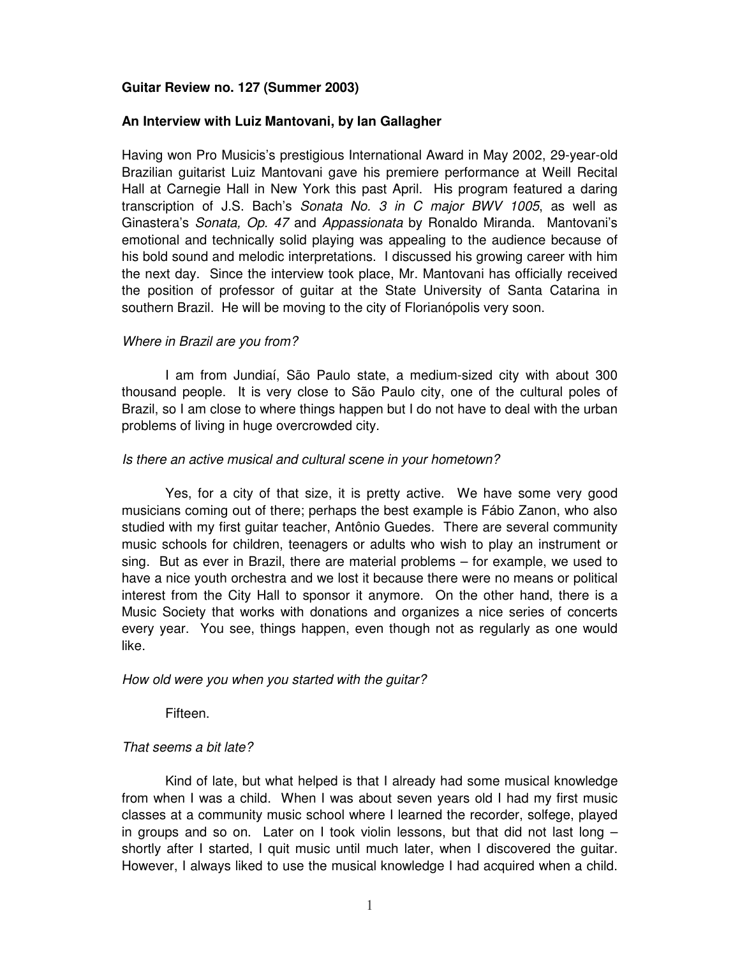## **Guitar Review no. 127 (Summer 2003)**

### **An Interview with Luiz Mantovani, by Ian Gallagher**

Having won Pro Musicis's prestigious International Award in May 2002, 29-year-old Brazilian guitarist Luiz Mantovani gave his premiere performance at Weill Recital Hall at Carnegie Hall in New York this past April. His program featured a daring transcription of J.S. Bach's *Sonata No. 3 in C major BWV 1005*, as well as Ginastera's *Sonata, Op. 47* and *Appassionata* by Ronaldo Miranda. Mantovani's emotional and technically solid playing was appealing to the audience because of his bold sound and melodic interpretations. I discussed his growing career with him the next day. Since the interview took place, Mr. Mantovani has officially received the position of professor of guitar at the State University of Santa Catarina in southern Brazil. He will be moving to the city of Florianópolis very soon.

## *Where in Brazil are you from?*

I am from Jundiaí, São Paulo state, a medium-sized city with about 300 thousand people. It is very close to São Paulo city, one of the cultural poles of Brazil, so I am close to where things happen but I do not have to deal with the urban problems of living in huge overcrowded city.

### *Is there an active musical and cultural scene in your hometown?*

Yes, for a city of that size, it is pretty active. We have some very good musicians coming out of there; perhaps the best example is Fábio Zanon, who also studied with my first guitar teacher, Antônio Guedes. There are several community music schools for children, teenagers or adults who wish to play an instrument or sing. But as ever in Brazil, there are material problems – for example, we used to have a nice youth orchestra and we lost it because there were no means or political interest from the City Hall to sponsor it anymore. On the other hand, there is a Music Society that works with donations and organizes a nice series of concerts every year. You see, things happen, even though not as regularly as one would like.

### *How old were you when you started with the guitar?*

Fifteen.

### *That seems a bit late?*

Kind of late, but what helped is that I already had some musical knowledge from when I was a child. When I was about seven years old I had my first music classes at a community music school where I learned the recorder, solfege, played in groups and so on. Later on I took violin lessons, but that did not last long  $$ shortly after I started, I quit music until much later, when I discovered the guitar. However, I always liked to use the musical knowledge I had acquired when a child.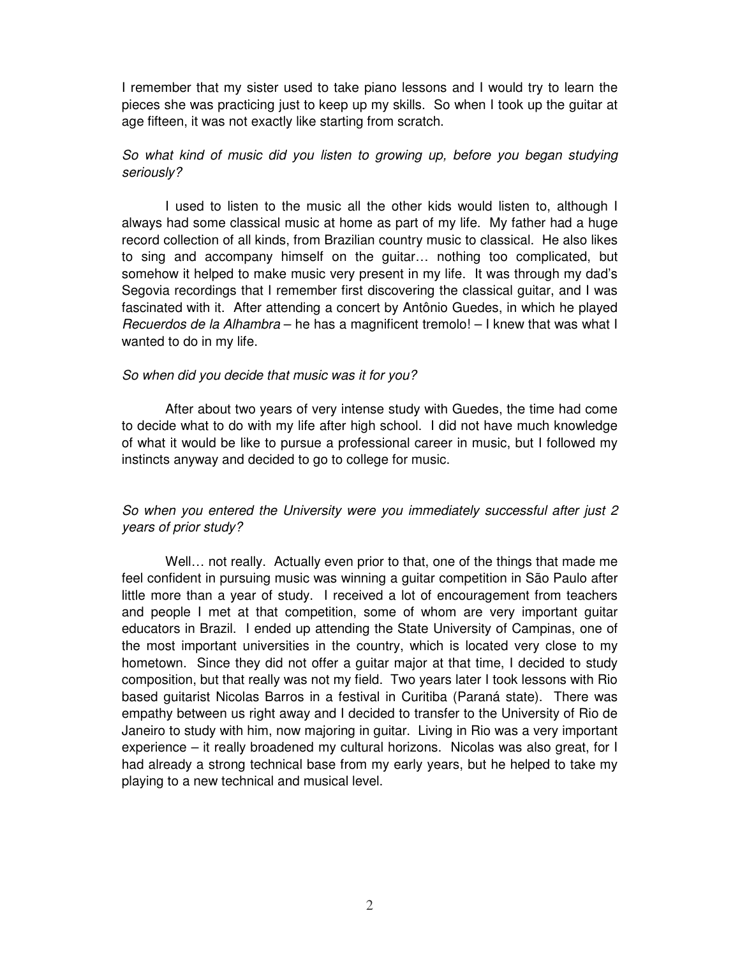I remember that my sister used to take piano lessons and I would try to learn the pieces she was practicing just to keep up my skills. So when I took up the guitar at age fifteen, it was not exactly like starting from scratch.

# *So what kind of music did you listen to growing up, before you began studying seriously?*

I used to listen to the music all the other kids would listen to, although I always had some classical music at home as part of my life. My father had a huge record collection of all kinds, from Brazilian country music to classical. He also likes to sing and accompany himself on the guitar… nothing too complicated, but somehow it helped to make music very present in my life. It was through my dad's Segovia recordings that I remember first discovering the classical guitar, and I was fascinated with it. After attending a concert by Antônio Guedes, in which he played *Recuerdos de la Alhambra* – he has a magnificent tremolo! – I knew that was what I wanted to do in my life.

## *So when did you decide that music was it for you?*

After about two years of very intense study with Guedes, the time had come to decide what to do with my life after high school. I did not have much knowledge of what it would be like to pursue a professional career in music, but I followed my instincts anyway and decided to go to college for music.

# *So when you entered the University were you immediately successful after just 2 years of prior study?*

Well… not really. Actually even prior to that, one of the things that made me feel confident in pursuing music was winning a guitar competition in São Paulo after little more than a year of study. I received a lot of encouragement from teachers and people I met at that competition, some of whom are very important guitar educators in Brazil. I ended up attending the State University of Campinas, one of the most important universities in the country, which is located very close to my hometown. Since they did not offer a guitar major at that time, I decided to study composition, but that really was not my field. Two years later I took lessons with Rio based guitarist Nicolas Barros in a festival in Curitiba (Paraná state). There was empathy between us right away and I decided to transfer to the University of Rio de Janeiro to study with him, now majoring in guitar. Living in Rio was a very important experience – it really broadened my cultural horizons. Nicolas was also great, for I had already a strong technical base from my early years, but he helped to take my playing to a new technical and musical level.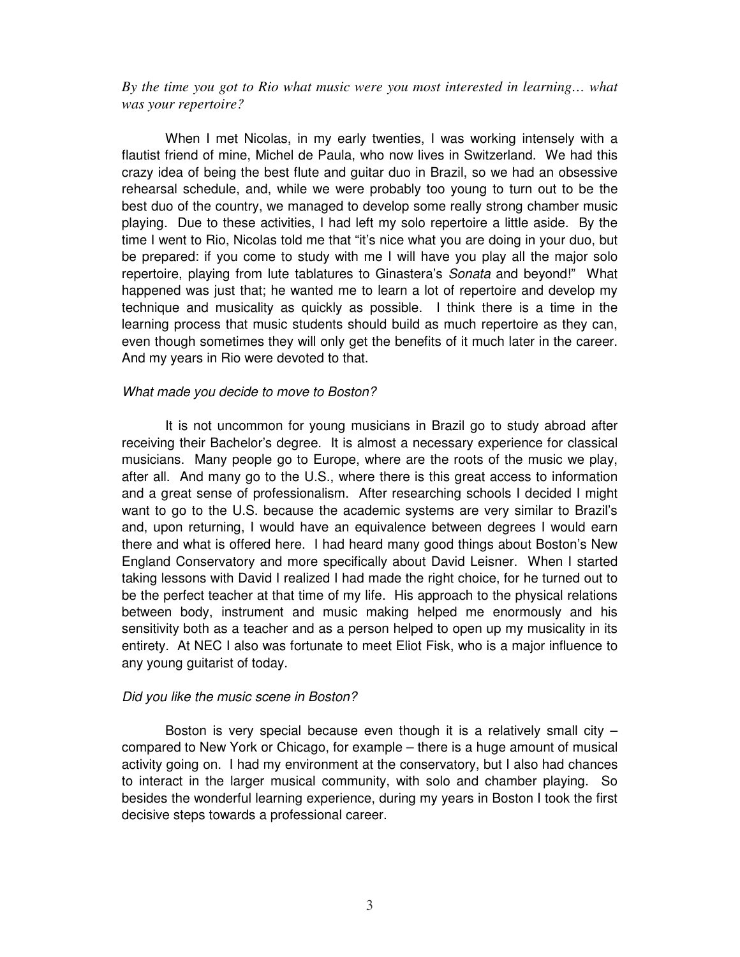*By the time you got to Rio what music were you most interested in learning… what was your repertoire?*

When I met Nicolas, in my early twenties, I was working intensely with a flautist friend of mine, Michel de Paula, who now lives in Switzerland. We had this crazy idea of being the best flute and guitar duo in Brazil, so we had an obsessive rehearsal schedule, and, while we were probably too young to turn out to be the best duo of the country, we managed to develop some really strong chamber music playing. Due to these activities, I had left my solo repertoire a little aside. By the time I went to Rio, Nicolas told me that "it's nice what you are doing in your duo, but be prepared: if you come to study with me I will have you play all the major solo repertoire, playing from lute tablatures to Ginastera's *Sonata* and beyond!" What happened was just that; he wanted me to learn a lot of repertoire and develop my technique and musicality as quickly as possible. I think there is a time in the learning process that music students should build as much repertoire as they can, even though sometimes they will only get the benefits of it much later in the career. And my years in Rio were devoted to that.

## *What made you decide to move to Boston?*

It is not uncommon for young musicians in Brazil go to study abroad after receiving their Bachelor's degree. It is almost a necessary experience for classical musicians. Many people go to Europe, where are the roots of the music we play, after all. And many go to the U.S., where there is this great access to information and a great sense of professionalism. After researching schools I decided I might want to go to the U.S. because the academic systems are very similar to Brazil's and, upon returning, I would have an equivalence between degrees I would earn there and what is offered here. I had heard many good things about Boston's New England Conservatory and more specifically about David Leisner. When I started taking lessons with David I realized I had made the right choice, for he turned out to be the perfect teacher at that time of my life. His approach to the physical relations between body, instrument and music making helped me enormously and his sensitivity both as a teacher and as a person helped to open up my musicality in its entirety. At NEC I also was fortunate to meet Eliot Fisk, who is a major influence to any young guitarist of today.

### *Did you like the music scene in Boston?*

Boston is very special because even though it is a relatively small city  $$ compared to New York or Chicago, for example – there is a huge amount of musical activity going on. I had my environment at the conservatory, but I also had chances to interact in the larger musical community, with solo and chamber playing. So besides the wonderful learning experience, during my years in Boston I took the first decisive steps towards a professional career.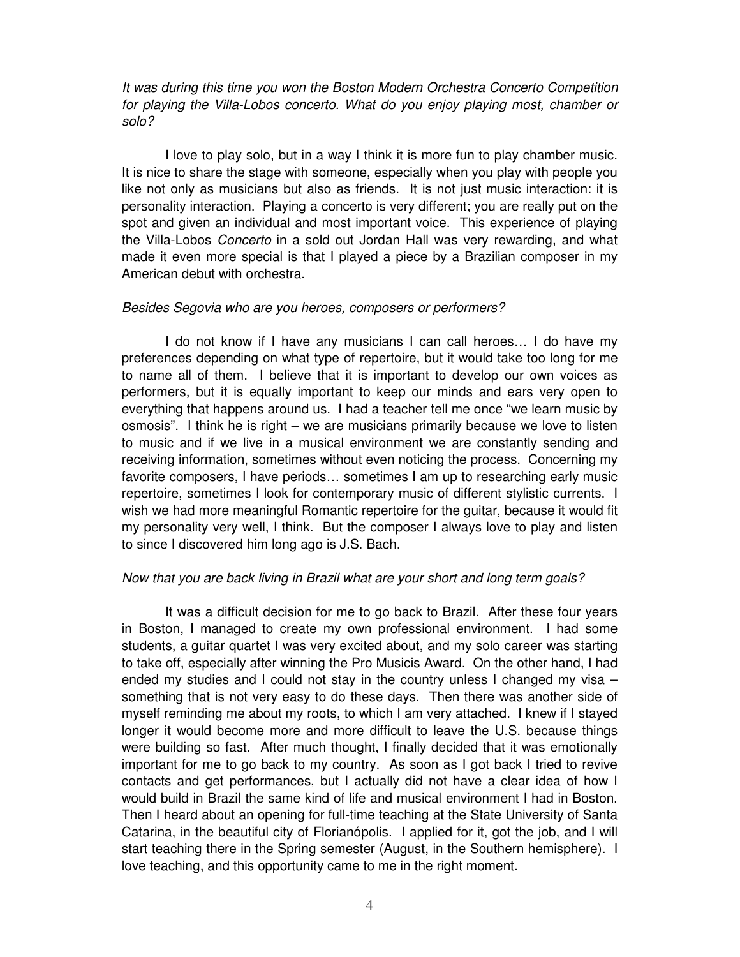*It was during this time you won the Boston Modern Orchestra Concerto Competition for playing the Villa-Lobos concerto. What do you enjoy playing most, chamber or solo?*

I love to play solo, but in a way I think it is more fun to play chamber music. It is nice to share the stage with someone, especially when you play with people you like not only as musicians but also as friends. It is not just music interaction: it is personality interaction. Playing a concerto is very different; you are really put on the spot and given an individual and most important voice. This experience of playing the Villa-Lobos *Concerto* in a sold out Jordan Hall was very rewarding, and what made it even more special is that I played a piece by a Brazilian composer in my American debut with orchestra.

### *Besides Segovia who are you heroes, composers or performers?*

I do not know if I have any musicians I can call heroes… I do have my preferences depending on what type of repertoire, but it would take too long for me to name all of them. I believe that it is important to develop our own voices as performers, but it is equally important to keep our minds and ears very open to everything that happens around us. I had a teacher tell me once "we learn music by osmosis". I think he is right – we are musicians primarily because we love to listen to music and if we live in a musical environment we are constantly sending and receiving information, sometimes without even noticing the process. Concerning my favorite composers, I have periods… sometimes I am up to researching early music repertoire, sometimes I look for contemporary music of different stylistic currents. I wish we had more meaningful Romantic repertoire for the guitar, because it would fit my personality very well, I think. But the composer I always love to play and listen to since I discovered him long ago is J.S. Bach.

### *Now that you are back living in Brazil what are your short and long term goals?*

It was a difficult decision for me to go back to Brazil. After these four years in Boston, I managed to create my own professional environment. I had some students, a guitar quartet I was very excited about, and my solo career was starting to take off, especially after winning the Pro Musicis Award. On the other hand, I had ended my studies and I could not stay in the country unless I changed my visa – something that is not very easy to do these days. Then there was another side of myself reminding me about my roots, to which I am very attached. I knew if I stayed longer it would become more and more difficult to leave the U.S. because things were building so fast. After much thought, I finally decided that it was emotionally important for me to go back to my country. As soon as I got back I tried to revive contacts and get performances, but I actually did not have a clear idea of how I would build in Brazil the same kind of life and musical environment I had in Boston. Then I heard about an opening for full-time teaching at the State University of Santa Catarina, in the beautiful city of Florianópolis. I applied for it, got the job, and I will start teaching there in the Spring semester (August, in the Southern hemisphere). I love teaching, and this opportunity came to me in the right moment.